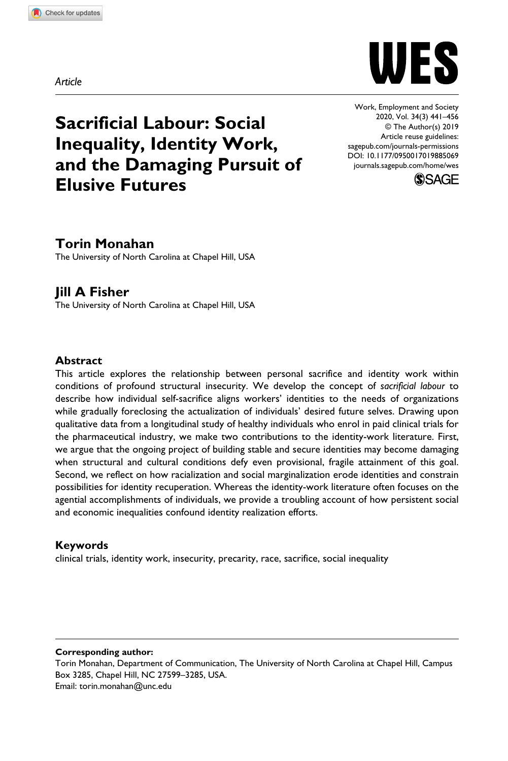**8850[69](http://crossmark.crossref.org/dialog/?doi=10.1177%2F0950017019885069&domain=pdf&date_stamp=2019-11-08)** WES0010.1177/0950017019885069Work, Employment and Society**Monahan and Fisher**

WES

DOI: 10.1177/0950017019885069 Work, Employment and Society 2020, Vol. 34(3) 441–456 © The Author(s) 2019 Article reuse guidelines: [sagepub.com/journals-permissions](https://uk.sagepub.com/en-gb/journals-permissions) [journals.sagepub.com/home/wes](https://journals.sagepub.com/home/wes)



# **Sacrificial Labour: Social Inequality, Identity Work, and the Damaging Pursuit of Elusive Futures**

# **Torin Monahan**

The University of North Carolina at Chapel Hill, USA

## **Jill A Fisher**

The University of North Carolina at Chapel Hill, USA

#### **Abstract**

This article explores the relationship between personal sacrifice and identity work within conditions of profound structural insecurity. We develop the concept of *sacrificial labour* to describe how individual self-sacrifice aligns workers' identities to the needs of organizations while gradually foreclosing the actualization of individuals' desired future selves. Drawing upon qualitative data from a longitudinal study of healthy individuals who enrol in paid clinical trials for the pharmaceutical industry, we make two contributions to the identity-work literature. First, we argue that the ongoing project of building stable and secure identities may become damaging when structural and cultural conditions defy even provisional, fragile attainment of this goal. Second, we reflect on how racialization and social marginalization erode identities and constrain possibilities for identity recuperation. Whereas the identity-work literature often focuses on the agential accomplishments of individuals, we provide a troubling account of how persistent social and economic inequalities confound identity realization efforts.

#### **Keywords**

clinical trials, identity work, insecurity, precarity, race, sacrifice, social inequality

#### **Corresponding author:**

Torin Monahan, Department of Communication, The University of North Carolina at Chapel Hill, Campus Box 3285, Chapel Hill, NC 27599–3285, USA. Email: [torin.monahan@unc.edu](mailto:torin.monahan@unc.edu)

*Article*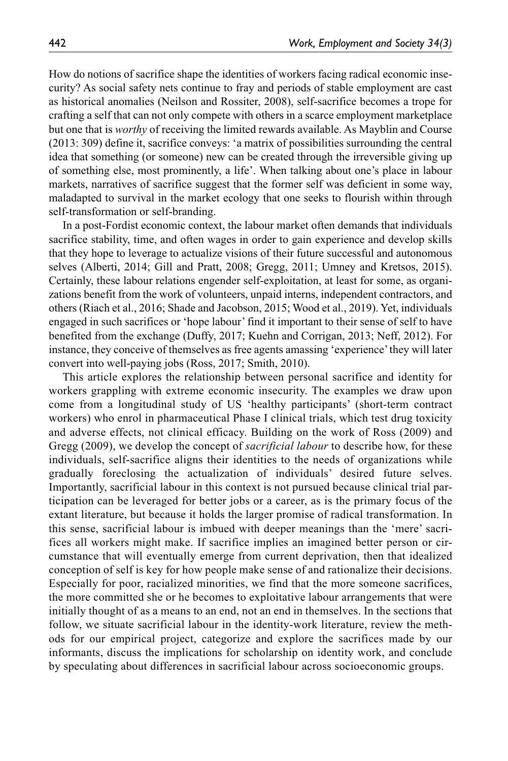How do notions of sacrifice shape the identities of workers facing radical economic insecurity? As social safety nets continue to fray and periods of stable employment are cast as historical anomalies (Neilson and Rossiter, 2008), self-sacrifice becomes a trope for crafting a self that can not only compete with others in a scarce employment marketplace but one that is *worthy* of receiving the limited rewards available. As Mayblin and Course (2013: 309) define it, sacrifice conveys: 'a matrix of possibilities surrounding the central idea that something (or someone) new can be created through the irreversible giving up of something else, most prominently, a life'. When talking about one's place in labour markets, narratives of sacrifice suggest that the former self was deficient in some way, maladapted to survival in the market ecology that one seeks to flourish within through self-transformation or self-branding.

In a post-Fordist economic context, the labour market often demands that individuals sacrifice stability, time, and often wages in order to gain experience and develop skills that they hope to leverage to actualize visions of their future successful and autonomous selves (Alberti, 2014; Gill and Pratt, 2008; Gregg, 2011; Umney and Kretsos, 2015). Certainly, these labour relations engender self-exploitation, at least for some, as organizations benefit from the work of volunteers, unpaid interns, independent contractors, and others (Riach et al., 2016; Shade and Jacobson, 2015; Wood et al., 2019). Yet, individuals engaged in such sacrifices or 'hope labour' find it important to their sense of self to have benefited from the exchange (Duffy, 2017; Kuehn and Corrigan, 2013; Neff, 2012). For instance, they conceive of themselves as free agents amassing 'experience' they will later convert into well-paying jobs (Ross, 2017; Smith, 2010).

This article explores the relationship between personal sacrifice and identity for workers grappling with extreme economic insecurity. The examples we draw upon come from a longitudinal study of US 'healthy participants' (short-term contract workers) who enrol in pharmaceutical Phase I clinical trials, which test drug toxicity and adverse effects, not clinical efficacy. Building on the work of Ross (2009) and Gregg (2009), we develop the concept of *sacrificial labour* to describe how, for these individuals, self-sacrifice aligns their identities to the needs of organizations while gradually foreclosing the actualization of individuals' desired future selves. Importantly, sacrificial labour in this context is not pursued because clinical trial participation can be leveraged for better jobs or a career, as is the primary focus of the extant literature, but because it holds the larger promise of radical transformation. In this sense, sacrificial labour is imbued with deeper meanings than the 'mere' sacrifices all workers might make. If sacrifice implies an imagined better person or circumstance that will eventually emerge from current deprivation, then that idealized conception of self is key for how people make sense of and rationalize their decisions. Especially for poor, racialized minorities, we find that the more someone sacrifices, the more committed she or he becomes to exploitative labour arrangements that were initially thought of as a means to an end, not an end in themselves. In the sections that follow, we situate sacrificial labour in the identity-work literature, review the methods for our empirical project, categorize and explore the sacrifices made by our informants, discuss the implications for scholarship on identity work, and conclude by speculating about differences in sacrificial labour across socioeconomic groups.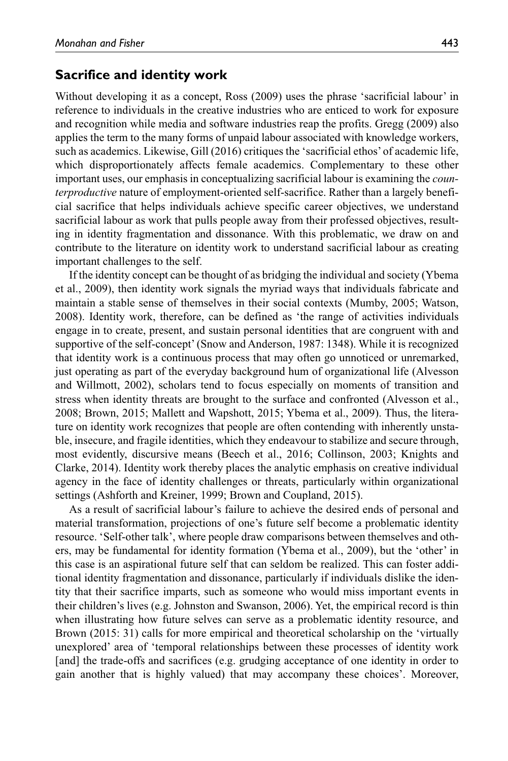## **Sacrifice and identity work**

Without developing it as a concept, Ross (2009) uses the phrase 'sacrificial labour' in reference to individuals in the creative industries who are enticed to work for exposure and recognition while media and software industries reap the profits. Gregg (2009) also applies the term to the many forms of unpaid labour associated with knowledge workers, such as academics. Likewise, Gill (2016) critiques the 'sacrificial ethos' of academic life, which disproportionately affects female academics. Complementary to these other important uses, our emphasis in conceptualizing sacrificial labour is examining the *counterproductive* nature of employment-oriented self-sacrifice. Rather than a largely beneficial sacrifice that helps individuals achieve specific career objectives, we understand sacrificial labour as work that pulls people away from their professed objectives, resulting in identity fragmentation and dissonance. With this problematic, we draw on and contribute to the literature on identity work to understand sacrificial labour as creating important challenges to the self.

If the identity concept can be thought of as bridging the individual and society (Ybema et al., 2009), then identity work signals the myriad ways that individuals fabricate and maintain a stable sense of themselves in their social contexts (Mumby, 2005; Watson, 2008). Identity work, therefore, can be defined as 'the range of activities individuals engage in to create, present, and sustain personal identities that are congruent with and supportive of the self-concept' (Snow and Anderson, 1987: 1348). While it is recognized that identity work is a continuous process that may often go unnoticed or unremarked, just operating as part of the everyday background hum of organizational life (Alvesson and Willmott, 2002), scholars tend to focus especially on moments of transition and stress when identity threats are brought to the surface and confronted (Alvesson et al., 2008; Brown, 2015; Mallett and Wapshott, 2015; Ybema et al., 2009). Thus, the literature on identity work recognizes that people are often contending with inherently unstable, insecure, and fragile identities, which they endeavour to stabilize and secure through, most evidently, discursive means (Beech et al., 2016; Collinson, 2003; Knights and Clarke, 2014). Identity work thereby places the analytic emphasis on creative individual agency in the face of identity challenges or threats, particularly within organizational settings (Ashforth and Kreiner, 1999; Brown and Coupland, 2015).

As a result of sacrificial labour's failure to achieve the desired ends of personal and material transformation, projections of one's future self become a problematic identity resource. 'Self-other talk', where people draw comparisons between themselves and others, may be fundamental for identity formation (Ybema et al., 2009), but the 'other' in this case is an aspirational future self that can seldom be realized. This can foster additional identity fragmentation and dissonance, particularly if individuals dislike the identity that their sacrifice imparts, such as someone who would miss important events in their children's lives (e.g. Johnston and Swanson, 2006). Yet, the empirical record is thin when illustrating how future selves can serve as a problematic identity resource, and Brown (2015: 31) calls for more empirical and theoretical scholarship on the 'virtually unexplored' area of 'temporal relationships between these processes of identity work [and] the trade-offs and sacrifices (e.g. grudging acceptance of one identity in order to gain another that is highly valued) that may accompany these choices'. Moreover,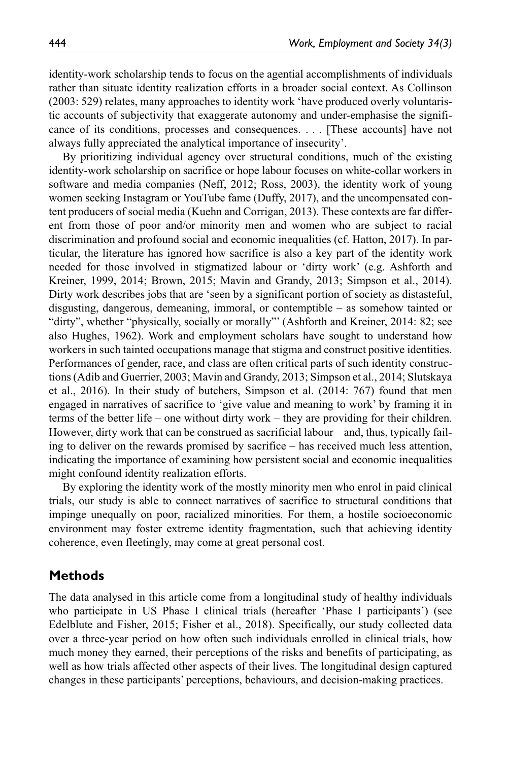identity-work scholarship tends to focus on the agential accomplishments of individuals rather than situate identity realization efforts in a broader social context. As Collinson (2003: 529) relates, many approaches to identity work 'have produced overly voluntaristic accounts of subjectivity that exaggerate autonomy and under-emphasise the significance of its conditions, processes and consequences. . . . [These accounts] have not always fully appreciated the analytical importance of insecurity'.

By prioritizing individual agency over structural conditions, much of the existing identity-work scholarship on sacrifice or hope labour focuses on white-collar workers in software and media companies (Neff, 2012; Ross, 2003), the identity work of young women seeking Instagram or YouTube fame (Duffy, 2017), and the uncompensated content producers of social media (Kuehn and Corrigan, 2013). These contexts are far different from those of poor and/or minority men and women who are subject to racial discrimination and profound social and economic inequalities (cf. Hatton, 2017). In particular, the literature has ignored how sacrifice is also a key part of the identity work needed for those involved in stigmatized labour or 'dirty work' (e.g. Ashforth and Kreiner, 1999, 2014; Brown, 2015; Mavin and Grandy, 2013; Simpson et al., 2014). Dirty work describes jobs that are 'seen by a significant portion of society as distasteful, disgusting, dangerous, demeaning, immoral, or contemptible – as somehow tainted or "dirty", whether "physically, socially or morally"' (Ashforth and Kreiner, 2014: 82; see also Hughes, 1962). Work and employment scholars have sought to understand how workers in such tainted occupations manage that stigma and construct positive identities. Performances of gender, race, and class are often critical parts of such identity constructions (Adib and Guerrier, 2003; Mavin and Grandy, 2013; Simpson et al., 2014; Slutskaya et al., 2016). In their study of butchers, Simpson et al. (2014: 767) found that men engaged in narratives of sacrifice to 'give value and meaning to work' by framing it in terms of the better life – one without dirty work – they are providing for their children. However, dirty work that can be construed as sacrificial labour – and, thus, typically failing to deliver on the rewards promised by sacrifice – has received much less attention, indicating the importance of examining how persistent social and economic inequalities might confound identity realization efforts.

By exploring the identity work of the mostly minority men who enrol in paid clinical trials, our study is able to connect narratives of sacrifice to structural conditions that impinge unequally on poor, racialized minorities. For them, a hostile socioeconomic environment may foster extreme identity fragmentation, such that achieving identity coherence, even fleetingly, may come at great personal cost.

# **Methods**

The data analysed in this article come from a longitudinal study of healthy individuals who participate in US Phase I clinical trials (hereafter 'Phase I participants') (see Edelblute and Fisher, 2015; Fisher et al., 2018). Specifically, our study collected data over a three-year period on how often such individuals enrolled in clinical trials, how much money they earned, their perceptions of the risks and benefits of participating, as well as how trials affected other aspects of their lives. The longitudinal design captured changes in these participants' perceptions, behaviours, and decision-making practices.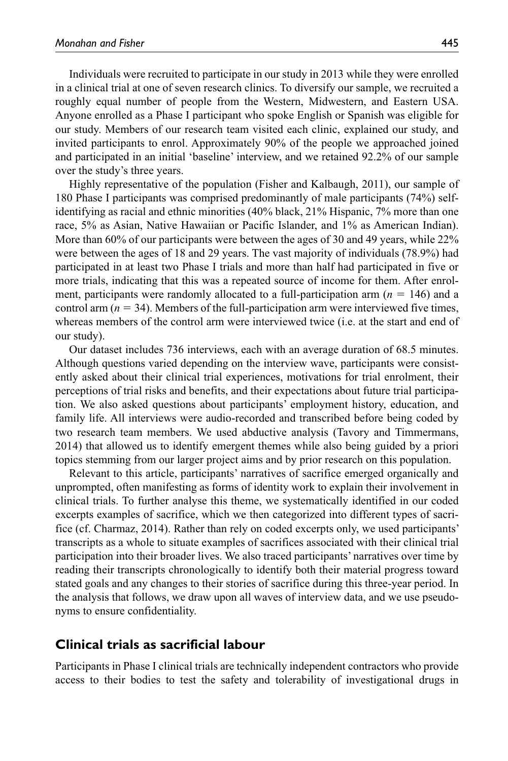Individuals were recruited to participate in our study in 2013 while they were enrolled in a clinical trial at one of seven research clinics. To diversify our sample, we recruited a roughly equal number of people from the Western, Midwestern, and Eastern USA. Anyone enrolled as a Phase I participant who spoke English or Spanish was eligible for our study. Members of our research team visited each clinic, explained our study, and invited participants to enrol. Approximately 90% of the people we approached joined and participated in an initial 'baseline' interview, and we retained 92.2% of our sample over the study's three years.

Highly representative of the population (Fisher and Kalbaugh, 2011), our sample of 180 Phase I participants was comprised predominantly of male participants (74%) selfidentifying as racial and ethnic minorities (40% black, 21% Hispanic, 7% more than one race, 5% as Asian, Native Hawaiian or Pacific Islander, and 1% as American Indian). More than 60% of our participants were between the ages of 30 and 49 years, while 22% were between the ages of 18 and 29 years. The vast majority of individuals (78.9%) had participated in at least two Phase I trials and more than half had participated in five or more trials, indicating that this was a repeated source of income for them. After enrolment, participants were randomly allocated to a full-participation arm  $(n = 146)$  and a control arm  $(n = 34)$ . Members of the full-participation arm were interviewed five times, whereas members of the control arm were interviewed twice (i.e. at the start and end of our study).

Our dataset includes 736 interviews, each with an average duration of 68.5 minutes. Although questions varied depending on the interview wave, participants were consistently asked about their clinical trial experiences, motivations for trial enrolment, their perceptions of trial risks and benefits, and their expectations about future trial participation. We also asked questions about participants' employment history, education, and family life. All interviews were audio-recorded and transcribed before being coded by two research team members. We used abductive analysis (Tavory and Timmermans, 2014) that allowed us to identify emergent themes while also being guided by a priori topics stemming from our larger project aims and by prior research on this population.

Relevant to this article, participants' narratives of sacrifice emerged organically and unprompted, often manifesting as forms of identity work to explain their involvement in clinical trials. To further analyse this theme, we systematically identified in our coded excerpts examples of sacrifice, which we then categorized into different types of sacrifice (cf. Charmaz, 2014). Rather than rely on coded excerpts only, we used participants' transcripts as a whole to situate examples of sacrifices associated with their clinical trial participation into their broader lives. We also traced participants' narratives over time by reading their transcripts chronologically to identify both their material progress toward stated goals and any changes to their stories of sacrifice during this three-year period. In the analysis that follows, we draw upon all waves of interview data, and we use pseudonyms to ensure confidentiality.

#### **Clinical trials as sacrificial labour**

Participants in Phase I clinical trials are technically independent contractors who provide access to their bodies to test the safety and tolerability of investigational drugs in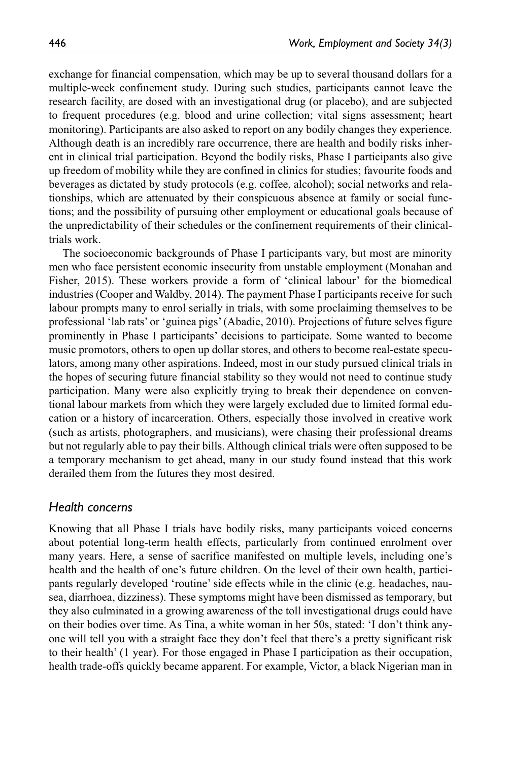exchange for financial compensation, which may be up to several thousand dollars for a multiple-week confinement study. During such studies, participants cannot leave the research facility, are dosed with an investigational drug (or placebo), and are subjected to frequent procedures (e.g. blood and urine collection; vital signs assessment; heart monitoring). Participants are also asked to report on any bodily changes they experience. Although death is an incredibly rare occurrence, there are health and bodily risks inherent in clinical trial participation. Beyond the bodily risks, Phase I participants also give up freedom of mobility while they are confined in clinics for studies; favourite foods and beverages as dictated by study protocols (e.g. coffee, alcohol); social networks and relationships, which are attenuated by their conspicuous absence at family or social functions; and the possibility of pursuing other employment or educational goals because of the unpredictability of their schedules or the confinement requirements of their clinicaltrials work.

The socioeconomic backgrounds of Phase I participants vary, but most are minority men who face persistent economic insecurity from unstable employment (Monahan and Fisher, 2015). These workers provide a form of 'clinical labour' for the biomedical industries (Cooper and Waldby, 2014). The payment Phase I participants receive for such labour prompts many to enrol serially in trials, with some proclaiming themselves to be professional 'lab rats' or 'guinea pigs' (Abadie, 2010). Projections of future selves figure prominently in Phase I participants' decisions to participate. Some wanted to become music promotors, others to open up dollar stores, and others to become real-estate speculators, among many other aspirations. Indeed, most in our study pursued clinical trials in the hopes of securing future financial stability so they would not need to continue study participation. Many were also explicitly trying to break their dependence on conventional labour markets from which they were largely excluded due to limited formal education or a history of incarceration. Others, especially those involved in creative work (such as artists, photographers, and musicians), were chasing their professional dreams but not regularly able to pay their bills. Although clinical trials were often supposed to be a temporary mechanism to get ahead, many in our study found instead that this work derailed them from the futures they most desired.

#### *Health concerns*

Knowing that all Phase I trials have bodily risks, many participants voiced concerns about potential long-term health effects, particularly from continued enrolment over many years. Here, a sense of sacrifice manifested on multiple levels, including one's health and the health of one's future children. On the level of their own health, participants regularly developed 'routine' side effects while in the clinic (e.g. headaches, nausea, diarrhoea, dizziness). These symptoms might have been dismissed as temporary, but they also culminated in a growing awareness of the toll investigational drugs could have on their bodies over time. As Tina, a white woman in her 50s, stated: 'I don't think anyone will tell you with a straight face they don't feel that there's a pretty significant risk to their health' (1 year). For those engaged in Phase I participation as their occupation, health trade-offs quickly became apparent. For example, Victor, a black Nigerian man in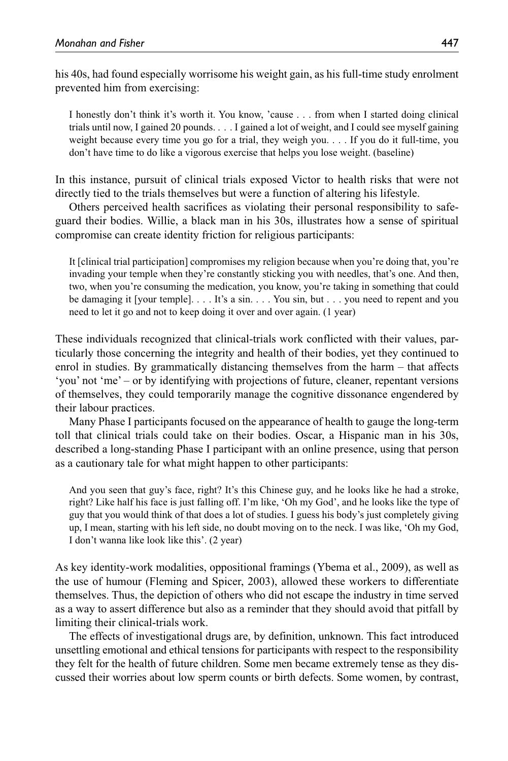his 40s, had found especially worrisome his weight gain, as his full-time study enrolment prevented him from exercising:

I honestly don't think it's worth it. You know, 'cause . . . from when I started doing clinical trials until now, I gained 20 pounds. . . . I gained a lot of weight, and I could see myself gaining weight because every time you go for a trial, they weigh you. . . . If you do it full-time, you don't have time to do like a vigorous exercise that helps you lose weight. (baseline)

In this instance, pursuit of clinical trials exposed Victor to health risks that were not directly tied to the trials themselves but were a function of altering his lifestyle.

Others perceived health sacrifices as violating their personal responsibility to safeguard their bodies. Willie, a black man in his 30s, illustrates how a sense of spiritual compromise can create identity friction for religious participants:

It [clinical trial participation] compromises my religion because when you're doing that, you're invading your temple when they're constantly sticking you with needles, that's one. And then, two, when you're consuming the medication, you know, you're taking in something that could be damaging it [your temple]. . . . It's a sin. . . . You sin, but . . . you need to repent and you need to let it go and not to keep doing it over and over again. (1 year)

These individuals recognized that clinical-trials work conflicted with their values, particularly those concerning the integrity and health of their bodies, yet they continued to enrol in studies. By grammatically distancing themselves from the harm – that affects 'you' not 'me' – or by identifying with projections of future, cleaner, repentant versions of themselves, they could temporarily manage the cognitive dissonance engendered by their labour practices.

Many Phase I participants focused on the appearance of health to gauge the long-term toll that clinical trials could take on their bodies. Oscar, a Hispanic man in his 30s, described a long-standing Phase I participant with an online presence, using that person as a cautionary tale for what might happen to other participants:

And you seen that guy's face, right? It's this Chinese guy, and he looks like he had a stroke, right? Like half his face is just falling off. I'm like, 'Oh my God', and he looks like the type of guy that you would think of that does a lot of studies. I guess his body's just completely giving up, I mean, starting with his left side, no doubt moving on to the neck. I was like, 'Oh my God, I don't wanna like look like this'. (2 year)

As key identity-work modalities, oppositional framings (Ybema et al., 2009), as well as the use of humour (Fleming and Spicer, 2003), allowed these workers to differentiate themselves. Thus, the depiction of others who did not escape the industry in time served as a way to assert difference but also as a reminder that they should avoid that pitfall by limiting their clinical-trials work.

The effects of investigational drugs are, by definition, unknown. This fact introduced unsettling emotional and ethical tensions for participants with respect to the responsibility they felt for the health of future children. Some men became extremely tense as they discussed their worries about low sperm counts or birth defects. Some women, by contrast,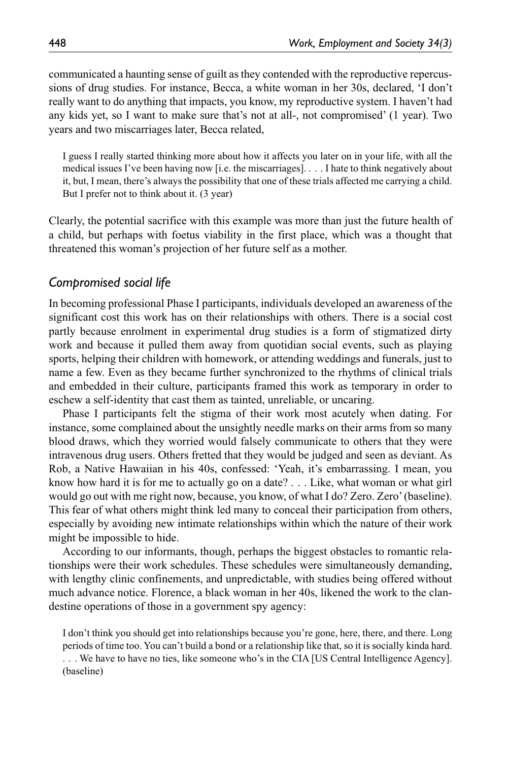communicated a haunting sense of guilt as they contended with the reproductive repercussions of drug studies. For instance, Becca, a white woman in her 30s, declared, 'I don't really want to do anything that impacts, you know, my reproductive system. I haven't had any kids yet, so I want to make sure that's not at all-, not compromised' (1 year). Two years and two miscarriages later, Becca related,

I guess I really started thinking more about how it affects you later on in your life, with all the medical issues I've been having now [i.e. the miscarriages]. . . . I hate to think negatively about it, but, I mean, there's always the possibility that one of these trials affected me carrying a child. But I prefer not to think about it. (3 year)

Clearly, the potential sacrifice with this example was more than just the future health of a child, but perhaps with foetus viability in the first place, which was a thought that threatened this woman's projection of her future self as a mother.

#### *Compromised social life*

In becoming professional Phase I participants, individuals developed an awareness of the significant cost this work has on their relationships with others. There is a social cost partly because enrolment in experimental drug studies is a form of stigmatized dirty work and because it pulled them away from quotidian social events, such as playing sports, helping their children with homework, or attending weddings and funerals, just to name a few. Even as they became further synchronized to the rhythms of clinical trials and embedded in their culture, participants framed this work as temporary in order to eschew a self-identity that cast them as tainted, unreliable, or uncaring.

Phase I participants felt the stigma of their work most acutely when dating. For instance, some complained about the unsightly needle marks on their arms from so many blood draws, which they worried would falsely communicate to others that they were intravenous drug users. Others fretted that they would be judged and seen as deviant. As Rob, a Native Hawaiian in his 40s, confessed: 'Yeah, it's embarrassing. I mean, you know how hard it is for me to actually go on a date? . . . Like, what woman or what girl would go out with me right now, because, you know, of what I do? Zero. Zero' (baseline). This fear of what others might think led many to conceal their participation from others, especially by avoiding new intimate relationships within which the nature of their work might be impossible to hide.

According to our informants, though, perhaps the biggest obstacles to romantic relationships were their work schedules. These schedules were simultaneously demanding, with lengthy clinic confinements, and unpredictable, with studies being offered without much advance notice. Florence, a black woman in her 40s, likened the work to the clandestine operations of those in a government spy agency:

I don't think you should get into relationships because you're gone, here, there, and there. Long periods of time too. You can't build a bond or a relationship like that, so it is socially kinda hard. . . . We have to have no ties, like someone who's in the CIA [US Central Intelligence Agency]. (baseline)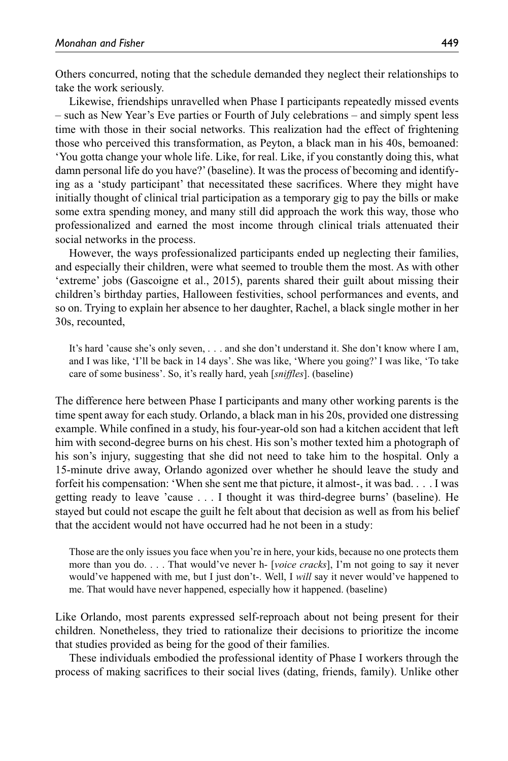Others concurred, noting that the schedule demanded they neglect their relationships to take the work seriously.

Likewise, friendships unravelled when Phase I participants repeatedly missed events – such as New Year's Eve parties or Fourth of July celebrations – and simply spent less time with those in their social networks. This realization had the effect of frightening those who perceived this transformation, as Peyton, a black man in his 40s, bemoaned: 'You gotta change your whole life. Like, for real. Like, if you constantly doing this, what damn personal life do you have?' (baseline). It was the process of becoming and identifying as a 'study participant' that necessitated these sacrifices. Where they might have initially thought of clinical trial participation as a temporary gig to pay the bills or make some extra spending money, and many still did approach the work this way, those who professionalized and earned the most income through clinical trials attenuated their social networks in the process.

However, the ways professionalized participants ended up neglecting their families, and especially their children, were what seemed to trouble them the most. As with other 'extreme' jobs (Gascoigne et al., 2015), parents shared their guilt about missing their children's birthday parties, Halloween festivities, school performances and events, and so on. Trying to explain her absence to her daughter, Rachel, a black single mother in her 30s, recounted,

It's hard 'cause she's only seven, . . . and she don't understand it. She don't know where I am, and I was like, 'I'll be back in 14 days'. She was like, 'Where you going?' I was like, 'To take care of some business'. So, it's really hard, yeah [*sniffles*]. (baseline)

The difference here between Phase I participants and many other working parents is the time spent away for each study. Orlando, a black man in his 20s, provided one distressing example. While confined in a study, his four-year-old son had a kitchen accident that left him with second-degree burns on his chest. His son's mother texted him a photograph of his son's injury, suggesting that she did not need to take him to the hospital. Only a 15-minute drive away, Orlando agonized over whether he should leave the study and forfeit his compensation: 'When she sent me that picture, it almost-, it was bad. . . . I was getting ready to leave 'cause . . . I thought it was third-degree burns' (baseline). He stayed but could not escape the guilt he felt about that decision as well as from his belief that the accident would not have occurred had he not been in a study:

Those are the only issues you face when you're in here, your kids, because no one protects them more than you do. . . . That would've never h- [*voice cracks*], I'm not going to say it never would've happened with me, but I just don't-. Well, I *will* say it never would've happened to me. That would have never happened, especially how it happened. (baseline)

Like Orlando, most parents expressed self-reproach about not being present for their children. Nonetheless, they tried to rationalize their decisions to prioritize the income that studies provided as being for the good of their families.

These individuals embodied the professional identity of Phase I workers through the process of making sacrifices to their social lives (dating, friends, family). Unlike other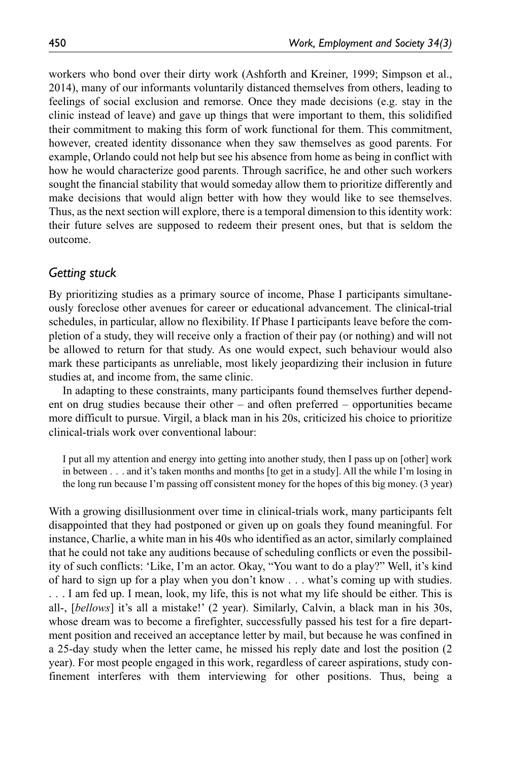workers who bond over their dirty work (Ashforth and Kreiner, 1999; Simpson et al., 2014), many of our informants voluntarily distanced themselves from others, leading to feelings of social exclusion and remorse. Once they made decisions (e.g. stay in the clinic instead of leave) and gave up things that were important to them, this solidified their commitment to making this form of work functional for them. This commitment, however, created identity dissonance when they saw themselves as good parents. For example, Orlando could not help but see his absence from home as being in conflict with how he would characterize good parents. Through sacrifice, he and other such workers sought the financial stability that would someday allow them to prioritize differently and make decisions that would align better with how they would like to see themselves. Thus, as the next section will explore, there is a temporal dimension to this identity work: their future selves are supposed to redeem their present ones, but that is seldom the outcome.

## *Getting stuck*

By prioritizing studies as a primary source of income, Phase I participants simultaneously foreclose other avenues for career or educational advancement. The clinical-trial schedules, in particular, allow no flexibility. If Phase I participants leave before the completion of a study, they will receive only a fraction of their pay (or nothing) and will not be allowed to return for that study. As one would expect, such behaviour would also mark these participants as unreliable, most likely jeopardizing their inclusion in future studies at, and income from, the same clinic.

In adapting to these constraints, many participants found themselves further dependent on drug studies because their other – and often preferred – opportunities became more difficult to pursue. Virgil, a black man in his 20s, criticized his choice to prioritize clinical-trials work over conventional labour:

I put all my attention and energy into getting into another study, then I pass up on [other] work in between . . . and it's taken months and months [to get in a study]. All the while I'm losing in the long run because I'm passing off consistent money for the hopes of this big money. (3 year)

With a growing disillusionment over time in clinical-trials work, many participants felt disappointed that they had postponed or given up on goals they found meaningful. For instance, Charlie, a white man in his 40s who identified as an actor, similarly complained that he could not take any auditions because of scheduling conflicts or even the possibility of such conflicts: 'Like, I'm an actor. Okay, "You want to do a play?" Well, it's kind of hard to sign up for a play when you don't know . . . what's coming up with studies. . . . I am fed up. I mean, look, my life, this is not what my life should be either. This is all-, [*bellows*] it's all a mistake!' (2 year). Similarly, Calvin, a black man in his 30s, whose dream was to become a firefighter, successfully passed his test for a fire department position and received an acceptance letter by mail, but because he was confined in a 25-day study when the letter came, he missed his reply date and lost the position (2 year). For most people engaged in this work, regardless of career aspirations, study confinement interferes with them interviewing for other positions. Thus, being a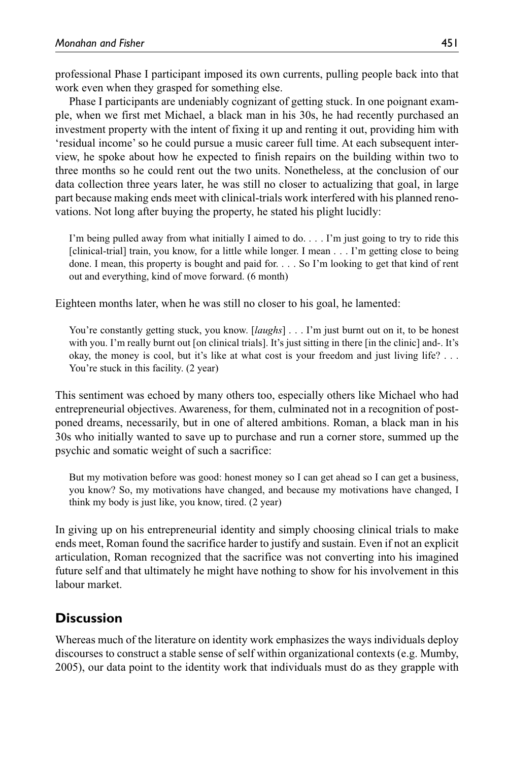professional Phase I participant imposed its own currents, pulling people back into that work even when they grasped for something else.

Phase I participants are undeniably cognizant of getting stuck. In one poignant example, when we first met Michael, a black man in his 30s, he had recently purchased an investment property with the intent of fixing it up and renting it out, providing him with 'residual income' so he could pursue a music career full time. At each subsequent interview, he spoke about how he expected to finish repairs on the building within two to three months so he could rent out the two units. Nonetheless, at the conclusion of our data collection three years later, he was still no closer to actualizing that goal, in large part because making ends meet with clinical-trials work interfered with his planned renovations. Not long after buying the property, he stated his plight lucidly:

I'm being pulled away from what initially I aimed to do. . . . I'm just going to try to ride this [clinical-trial] train, you know, for a little while longer. I mean . . . I'm getting close to being done. I mean, this property is bought and paid for. . . . So I'm looking to get that kind of rent out and everything, kind of move forward. (6 month)

Eighteen months later, when he was still no closer to his goal, he lamented:

You're constantly getting stuck, you know. [*laughs*] . . . I'm just burnt out on it, to be honest with you. I'm really burnt out [on clinical trials]. It's just sitting in there [in the clinic] and-. It's okay, the money is cool, but it's like at what cost is your freedom and just living life? . . . You're stuck in this facility. (2 year)

This sentiment was echoed by many others too, especially others like Michael who had entrepreneurial objectives. Awareness, for them, culminated not in a recognition of postponed dreams, necessarily, but in one of altered ambitions. Roman, a black man in his 30s who initially wanted to save up to purchase and run a corner store, summed up the psychic and somatic weight of such a sacrifice:

But my motivation before was good: honest money so I can get ahead so I can get a business, you know? So, my motivations have changed, and because my motivations have changed, I think my body is just like, you know, tired. (2 year)

In giving up on his entrepreneurial identity and simply choosing clinical trials to make ends meet, Roman found the sacrifice harder to justify and sustain. Even if not an explicit articulation, Roman recognized that the sacrifice was not converting into his imagined future self and that ultimately he might have nothing to show for his involvement in this labour market.

# **Discussion**

Whereas much of the literature on identity work emphasizes the ways individuals deploy discourses to construct a stable sense of self within organizational contexts (e.g. Mumby, 2005), our data point to the identity work that individuals must do as they grapple with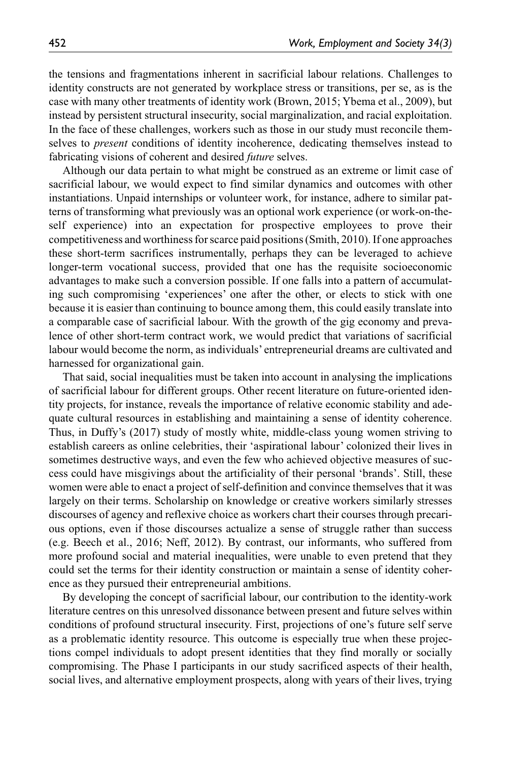the tensions and fragmentations inherent in sacrificial labour relations. Challenges to identity constructs are not generated by workplace stress or transitions, per se, as is the case with many other treatments of identity work (Brown, 2015; Ybema et al., 2009), but instead by persistent structural insecurity, social marginalization, and racial exploitation. In the face of these challenges, workers such as those in our study must reconcile themselves to *present* conditions of identity incoherence, dedicating themselves instead to fabricating visions of coherent and desired *future* selves.

Although our data pertain to what might be construed as an extreme or limit case of sacrificial labour, we would expect to find similar dynamics and outcomes with other instantiations. Unpaid internships or volunteer work, for instance, adhere to similar patterns of transforming what previously was an optional work experience (or work-on-theself experience) into an expectation for prospective employees to prove their competitiveness and worthiness for scarce paid positions (Smith, 2010). If one approaches these short-term sacrifices instrumentally, perhaps they can be leveraged to achieve longer-term vocational success, provided that one has the requisite socioeconomic advantages to make such a conversion possible. If one falls into a pattern of accumulating such compromising 'experiences' one after the other, or elects to stick with one because it is easier than continuing to bounce among them, this could easily translate into a comparable case of sacrificial labour. With the growth of the gig economy and prevalence of other short-term contract work, we would predict that variations of sacrificial labour would become the norm, as individuals' entrepreneurial dreams are cultivated and harnessed for organizational gain.

That said, social inequalities must be taken into account in analysing the implications of sacrificial labour for different groups. Other recent literature on future-oriented identity projects, for instance, reveals the importance of relative economic stability and adequate cultural resources in establishing and maintaining a sense of identity coherence. Thus, in Duffy's (2017) study of mostly white, middle-class young women striving to establish careers as online celebrities, their 'aspirational labour' colonized their lives in sometimes destructive ways, and even the few who achieved objective measures of success could have misgivings about the artificiality of their personal 'brands'. Still, these women were able to enact a project of self-definition and convince themselves that it was largely on their terms. Scholarship on knowledge or creative workers similarly stresses discourses of agency and reflexive choice as workers chart their courses through precarious options, even if those discourses actualize a sense of struggle rather than success (e.g. Beech et al., 2016; Neff, 2012). By contrast, our informants, who suffered from more profound social and material inequalities, were unable to even pretend that they could set the terms for their identity construction or maintain a sense of identity coherence as they pursued their entrepreneurial ambitions.

By developing the concept of sacrificial labour, our contribution to the identity-work literature centres on this unresolved dissonance between present and future selves within conditions of profound structural insecurity. First, projections of one's future self serve as a problematic identity resource. This outcome is especially true when these projections compel individuals to adopt present identities that they find morally or socially compromising. The Phase I participants in our study sacrificed aspects of their health, social lives, and alternative employment prospects, along with years of their lives, trying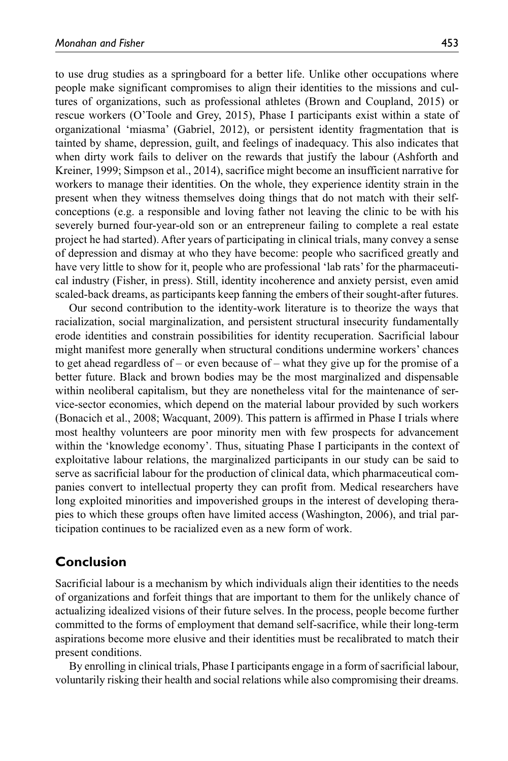to use drug studies as a springboard for a better life. Unlike other occupations where people make significant compromises to align their identities to the missions and cultures of organizations, such as professional athletes (Brown and Coupland, 2015) or rescue workers (O'Toole and Grey, 2015), Phase I participants exist within a state of organizational 'miasma' (Gabriel, 2012), or persistent identity fragmentation that is tainted by shame, depression, guilt, and feelings of inadequacy. This also indicates that when dirty work fails to deliver on the rewards that justify the labour (Ashforth and Kreiner, 1999; Simpson et al., 2014), sacrifice might become an insufficient narrative for workers to manage their identities. On the whole, they experience identity strain in the present when they witness themselves doing things that do not match with their selfconceptions (e.g. a responsible and loving father not leaving the clinic to be with his severely burned four-year-old son or an entrepreneur failing to complete a real estate project he had started). After years of participating in clinical trials, many convey a sense of depression and dismay at who they have become: people who sacrificed greatly and have very little to show for it, people who are professional 'lab rats' for the pharmaceutical industry (Fisher, in press). Still, identity incoherence and anxiety persist, even amid scaled-back dreams, as participants keep fanning the embers of their sought-after futures.

Our second contribution to the identity-work literature is to theorize the ways that racialization, social marginalization, and persistent structural insecurity fundamentally erode identities and constrain possibilities for identity recuperation. Sacrificial labour might manifest more generally when structural conditions undermine workers' chances to get ahead regardless of – or even because of – what they give up for the promise of a better future. Black and brown bodies may be the most marginalized and dispensable within neoliberal capitalism, but they are nonetheless vital for the maintenance of service-sector economies, which depend on the material labour provided by such workers (Bonacich et al., 2008; Wacquant, 2009). This pattern is affirmed in Phase I trials where most healthy volunteers are poor minority men with few prospects for advancement within the 'knowledge economy'. Thus, situating Phase I participants in the context of exploitative labour relations, the marginalized participants in our study can be said to serve as sacrificial labour for the production of clinical data, which pharmaceutical companies convert to intellectual property they can profit from. Medical researchers have long exploited minorities and impoverished groups in the interest of developing therapies to which these groups often have limited access (Washington, 2006), and trial participation continues to be racialized even as a new form of work.

## **Conclusion**

Sacrificial labour is a mechanism by which individuals align their identities to the needs of organizations and forfeit things that are important to them for the unlikely chance of actualizing idealized visions of their future selves. In the process, people become further committed to the forms of employment that demand self-sacrifice, while their long-term aspirations become more elusive and their identities must be recalibrated to match their present conditions.

By enrolling in clinical trials, Phase I participants engage in a form of sacrificial labour, voluntarily risking their health and social relations while also compromising their dreams.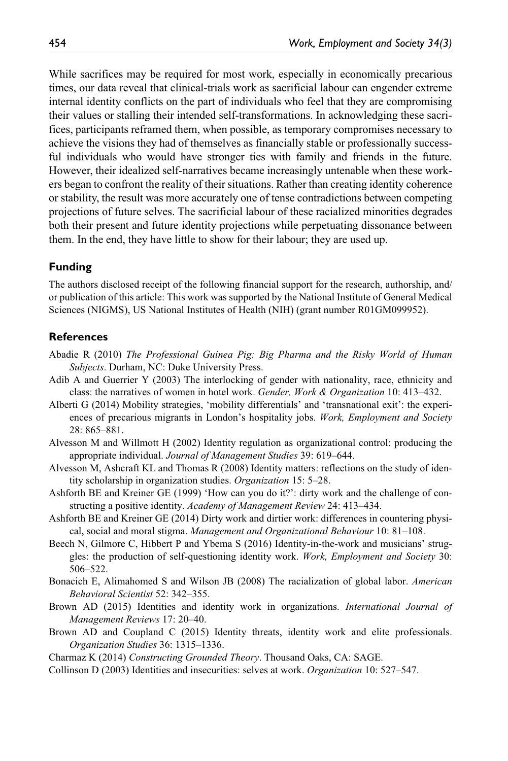While sacrifices may be required for most work, especially in economically precarious times, our data reveal that clinical-trials work as sacrificial labour can engender extreme internal identity conflicts on the part of individuals who feel that they are compromising their values or stalling their intended self-transformations. In acknowledging these sacrifices, participants reframed them, when possible, as temporary compromises necessary to achieve the visions they had of themselves as financially stable or professionally successful individuals who would have stronger ties with family and friends in the future. However, their idealized self-narratives became increasingly untenable when these workers began to confront the reality of their situations. Rather than creating identity coherence or stability, the result was more accurately one of tense contradictions between competing projections of future selves. The sacrificial labour of these racialized minorities degrades both their present and future identity projections while perpetuating dissonance between them. In the end, they have little to show for their labour; they are used up.

#### **Funding**

The authors disclosed receipt of the following financial support for the research, authorship, and/ or publication of this article: This work was supported by the National Institute of General Medical Sciences (NIGMS), US National Institutes of Health (NIH) (grant number R01GM099952).

#### **References**

- Abadie R (2010) *The Professional Guinea Pig: Big Pharma and the Risky World of Human Subjects*. Durham, NC: Duke University Press.
- Adib A and Guerrier Y (2003) The interlocking of gender with nationality, race, ethnicity and class: the narratives of women in hotel work. *Gender, Work & Organization* 10: 413–432.
- Alberti G (2014) Mobility strategies, 'mobility differentials' and 'transnational exit': the experiences of precarious migrants in London's hospitality jobs. *Work, Employment and Society* 28: 865–881.
- Alvesson M and Willmott H (2002) Identity regulation as organizational control: producing the appropriate individual. *Journal of Management Studies* 39: 619–644.
- Alvesson M, Ashcraft KL and Thomas R (2008) Identity matters: reflections on the study of identity scholarship in organization studies. *Organization* 15: 5–28.
- Ashforth BE and Kreiner GE (1999) 'How can you do it?': dirty work and the challenge of constructing a positive identity. *Academy of Management Review* 24: 413–434.
- Ashforth BE and Kreiner GE (2014) Dirty work and dirtier work: differences in countering physical, social and moral stigma. *Management and Organizational Behaviour* 10: 81–108.
- Beech N, Gilmore C, Hibbert P and Ybema S (2016) Identity-in-the-work and musicians' struggles: the production of self-questioning identity work. *Work, Employment and Society* 30: 506–522.
- Bonacich E, Alimahomed S and Wilson JB (2008) The racialization of global labor. *American Behavioral Scientist* 52: 342–355.
- Brown AD (2015) Identities and identity work in organizations. *International Journal of Management Reviews* 17: 20–40.
- Brown AD and Coupland C (2015) Identity threats, identity work and elite professionals. *Organization Studies* 36: 1315–1336.
- Charmaz K (2014) *Constructing Grounded Theory*. Thousand Oaks, CA: SAGE.
- Collinson D (2003) Identities and insecurities: selves at work. *Organization* 10: 527–547.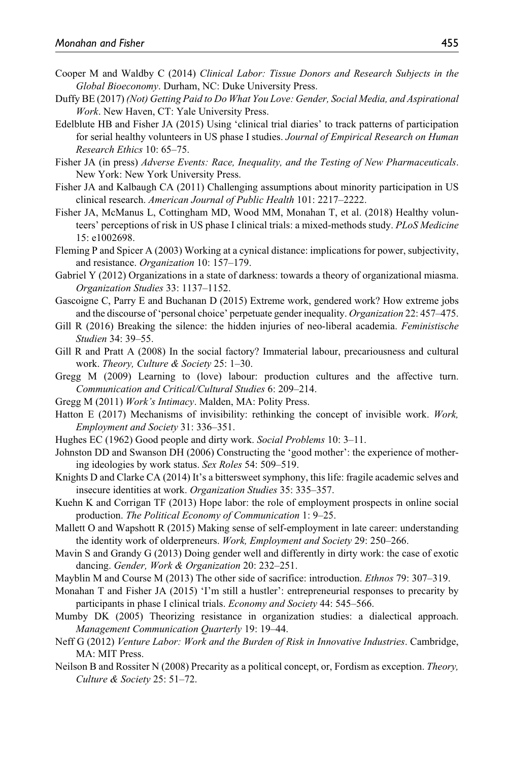- Cooper M and Waldby C (2014) *Clinical Labor: Tissue Donors and Research Subjects in the Global Bioeconomy*. Durham, NC: Duke University Press.
- Duffy BE (2017) *(Not) Getting Paid to Do What You Love: Gender, Social Media, and Aspirational Work*. New Haven, CT: Yale University Press.
- Edelblute HB and Fisher JA (2015) Using 'clinical trial diaries' to track patterns of participation for serial healthy volunteers in US phase I studies. *Journal of Empirical Research on Human Research Ethics* 10: 65–75.
- Fisher JA (in press) *Adverse Events: Race, Inequality, and the Testing of New Pharmaceuticals*. New York: New York University Press.
- Fisher JA and Kalbaugh CA (2011) Challenging assumptions about minority participation in US clinical research. *American Journal of Public Health* 101: 2217–2222.
- Fisher JA, McManus L, Cottingham MD, Wood MM, Monahan T, et al. (2018) Healthy volunteers' perceptions of risk in US phase I clinical trials: a mixed-methods study. *PLoS Medicine* 15: e1002698.
- Fleming P and Spicer A (2003) Working at a cynical distance: implications for power, subjectivity, and resistance. *Organization* 10: 157–179.
- Gabriel Y (2012) Organizations in a state of darkness: towards a theory of organizational miasma. *Organization Studies* 33: 1137–1152.
- Gascoigne C, Parry E and Buchanan D (2015) Extreme work, gendered work? How extreme jobs and the discourse of 'personal choice' perpetuate gender inequality. *Organization* 22: 457–475.
- Gill R (2016) Breaking the silence: the hidden injuries of neo-liberal academia. *Feministische Studien* 34: 39–55.
- Gill R and Pratt A (2008) In the social factory? Immaterial labour, precariousness and cultural work. *Theory, Culture & Society* 25: 1–30.
- Gregg M (2009) Learning to (love) labour: production cultures and the affective turn. *Communication and Critical/Cultural Studies* 6: 209–214.
- Gregg M (2011) *Work's Intimacy*. Malden, MA: Polity Press.
- Hatton E (2017) Mechanisms of invisibility: rethinking the concept of invisible work. *Work, Employment and Society* 31: 336–351.
- Hughes EC (1962) Good people and dirty work. *Social Problems* 10: 3–11.
- Johnston DD and Swanson DH (2006) Constructing the 'good mother': the experience of mothering ideologies by work status. *Sex Roles* 54: 509–519.
- Knights D and Clarke CA (2014) It's a bittersweet symphony, this life: fragile academic selves and insecure identities at work. *Organization Studies* 35: 335–357.
- Kuehn K and Corrigan TF (2013) Hope labor: the role of employment prospects in online social production. *The Political Economy of Communication* 1: 9–25.
- Mallett O and Wapshott R (2015) Making sense of self-employment in late career: understanding the identity work of olderpreneurs. *Work, Employment and Society* 29: 250–266.
- Mavin S and Grandy G (2013) Doing gender well and differently in dirty work: the case of exotic dancing. *Gender, Work & Organization* 20: 232–251.
- Mayblin M and Course M (2013) The other side of sacrifice: introduction. *Ethnos* 79: 307–319.
- Monahan T and Fisher JA (2015) 'I'm still a hustler': entrepreneurial responses to precarity by participants in phase I clinical trials. *Economy and Society* 44: 545–566.
- Mumby DK (2005) Theorizing resistance in organization studies: a dialectical approach. *Management Communication Quarterly* 19: 19–44.
- Neff G (2012) *Venture Labor: Work and the Burden of Risk in Innovative Industries*. Cambridge, MA: MIT Press.
- Neilson B and Rossiter N (2008) Precarity as a political concept, or, Fordism as exception. *Theory, Culture & Society* 25: 51–72.